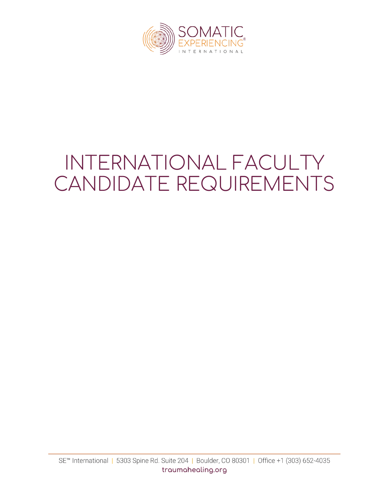

# INTERNATIONAL FACULTY CANDIDATE REQUIREMENTS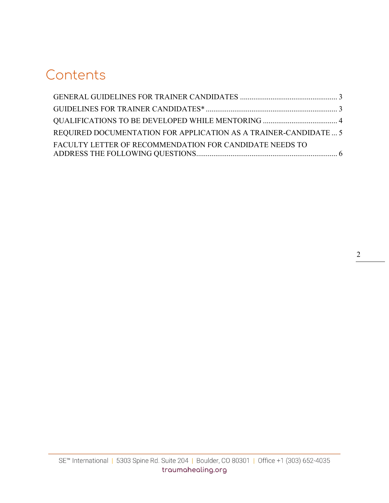# **Contents**

| REQUIRED DOCUMENTATION FOR APPLICATION AS A TRAINER-CANDIDATE  5 |  |
|------------------------------------------------------------------|--|
| FACULTY LETTER OF RECOMMENDATION FOR CANDIDATE NEEDS TO          |  |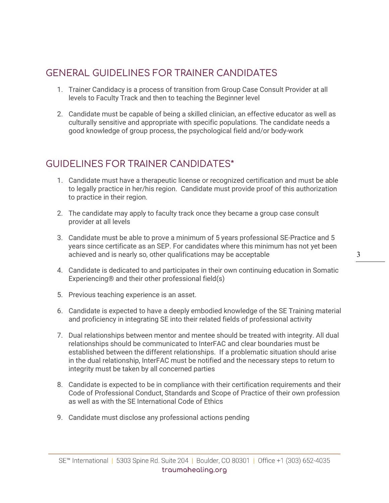# <span id="page-2-0"></span>GENERAL GUIDELINES FOR TRAINER CANDIDATES

- 1. Trainer Candidacy is a process of transition from Group Case Consult Provider at all levels to Faculty Track and then to teaching the Beginner level
- 2. Candidate must be capable of being a skilled clinician, an effective educator as well as culturally sensitive and appropriate with specific populations. The candidate needs a good knowledge of group process, the psychological field and/or body-work

## <span id="page-2-1"></span>GUIDELINES FOR TRAINER CANDIDATES\*

- 1. Candidate must have a therapeutic license or recognized certification and must be able to legally practice in her/his region. Candidate must provide proof of this authorization to practice in their region.
- 2. The candidate may apply to faculty track once they became a group case consult provider at all levels
- 3. Candidate must be able to prove a minimum of 5 years professional SE-Practice and 5 years since certificate as an SEP. For candidates where this minimum has not yet been achieved and is nearly so, other qualifications may be acceptable
- 4. Candidate is dedicated to and participates in their own continuing education in Somatic Experiencing® and their other professional field(s)
- 5. Previous teaching experience is an asset.
- 6. Candidate is expected to have a deeply embodied knowledge of the SE Training material and proficiency in integrating SE into their related fields of professional activity
- 7. Dual relationships between mentor and mentee should be treated with integrity. All dual relationships should be communicated to InterFAC and clear boundaries must be established between the different relationships. If a problematic situation should arise in the dual relationship, InterFAC must be notified and the necessary steps to return to integrity must be taken by all concerned parties
- 8. Candidate is expected to be in compliance with their certification requirements and their Code of Professional Conduct, Standards and Scope of Practice of their own profession as well as with the SE International Code of Ethics
- 9. Candidate must disclose any professional actions pending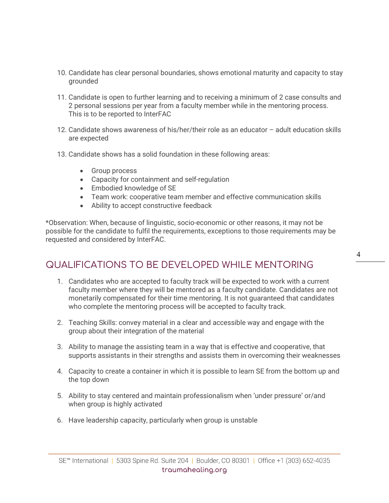- 10. Candidate has clear personal boundaries, shows emotional maturity and capacity to stay grounded
- 11. Candidate is open to further learning and to receiving a minimum of 2 case consults and 2 personal sessions per year from a faculty member while in the mentoring process. This is to be reported to InterFAC
- 12. Candidate shows awareness of his/her/their role as an educator adult education skills are expected
- 13. Candidate shows has a solid foundation in these following areas:
	- Group process
	- Capacity for containment and self-regulation
	- Embodied knowledge of SE
	- Team work: cooperative team member and effective communication skills
	- Ability to accept constructive feedback

\*Observation: When, because of linguistic, socio-economic or other reasons, it may not be possible for the candidate to fulfil the requirements, exceptions to those requirements may be requested and considered by InterFAC.

### <span id="page-3-0"></span>QUALIFICATIONS TO BE DEVELOPED WHILE MENTORING

- 1. Candidates who are accepted to faculty track will be expected to work with a current faculty member where they will be mentored as a faculty candidate. Candidates are not monetarily compensated for their time mentoring. It is not guaranteed that candidates who complete the mentoring process will be accepted to faculty track.
- 2. Teaching Skills: convey material in a clear and accessible way and engage with the group about their integration of the material
- 3. Ability to manage the assisting team in a way that is effective and cooperative, that supports assistants in their strengths and assists them in overcoming their weaknesses
- 4. Capacity to create a container in which it is possible to learn SE from the bottom up and the top down
- 5. Ability to stay centered and maintain professionalism when 'under pressure' or/and when group is highly activated
- 6. Have leadership capacity, particularly when group is unstable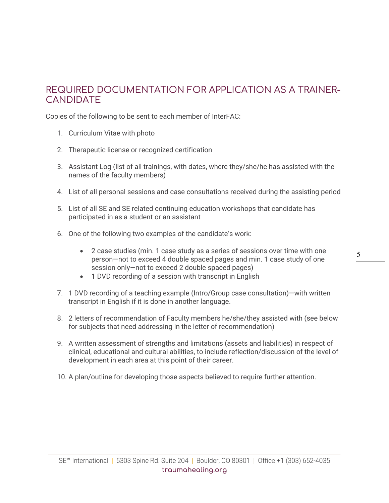#### <span id="page-4-0"></span>REQUIRED DOCUMENTATION FOR APPLICATION AS A TRAINER-**CANDIDATE**

Copies of the following to be sent to each member of InterFAC:

- 1. Curriculum Vitae with photo
- 2. Therapeutic license or recognized certification
- 3. Assistant Log (list of all trainings, with dates, where they/she/he has assisted with the names of the faculty members)
- 4. List of all personal sessions and case consultations received during the assisting period
- 5. List of all SE and SE related continuing education workshops that candidate has participated in as a student or an assistant
- 6. One of the following two examples of the candidate's work:
	- 2 case studies (min. 1 case study as a series of sessions over time with one person—not to exceed 4 double spaced pages and min. 1 case study of one session only—not to exceed 2 double spaced pages)
	- 1 DVD recording of a session with transcript in English
- 7. 1 DVD recording of a teaching example (Intro/Group case consultation)—with written transcript in English if it is done in another language.
- 8. 2 letters of recommendation of Faculty members he/she/they assisted with (see below for subjects that need addressing in the letter of recommendation)
- 9. A written assessment of strengths and limitations (assets and liabilities) in respect of clinical, educational and cultural abilities, to include reflection/discussion of the level of development in each area at this point of their career.
- 10. A plan/outline for developing those aspects believed to require further attention.